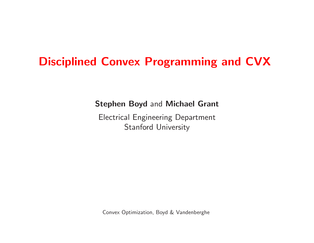# Disciplined Convex Programming and CVX

Stephen Boyd and Michael Grant

Electrical Engineering Department Stanford University

Convex Optimization, Boyd & Vandenberghe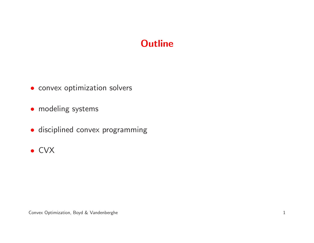# **Outline**

- convex optimization solvers
- modeling systems
- disciplined convex programming
- CVX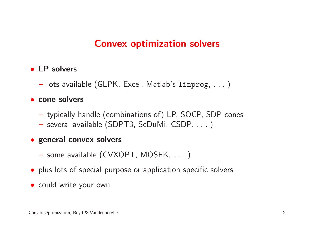### Convex optimization solvers

# • LP solvers

— lots available (GLPK, Excel, Matlab's linprog,  $\dots$  )

### • cone solvers

- typically handle (combinations of) LP, SOCP, SDP cones
- $-$  several available (SDPT3, SeDuMi, CSDP,  $\ldots$  )

# • genera<sup>l</sup> convex solvers

- some available (CVXOPT, MOSEK, . . . )
- plus lots of special purpose or application specific solvers
- could write your own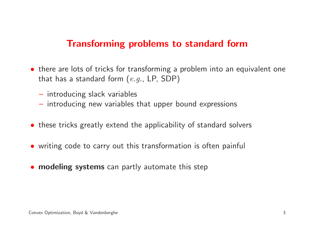### Transforming problems to standard form

- there are lots of tricks for transforming <sup>a</sup> problem into an equivalent one that has a standard form  $(e.g., LP, SDP)$ 
	- $-$  introducing slack variables
	- $-$  introducing new variables that upper bound expressions
- these tricks greatly extend the applicability of standard solvers
- writing code to carry out this transformation is often painful
- **modeling systems** can partly automate this step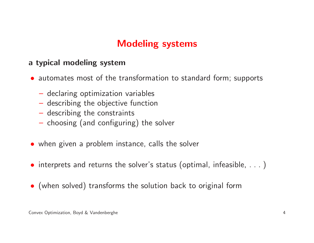# Modeling systems

#### <sup>a</sup> typical modeling system

- automates most of the transformation to standard form; supports
	- $-$  declaring optimization variables
	- $-$  describing the objective function
	- $-$  describing the constraints
	- $-$  choosing (and configuring) the solver
- when <sup>g</sup>iven <sup>a</sup> problem instance, calls the solver
- interprets and returns the solver's status (optimal, infeasible, . . . )
- (when solved) transforms the solution back to original form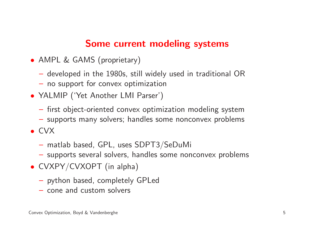### Some current modeling systems

- AMPL & GAMS (proprietary)
	- $-$  developed in the 1980s, still widely used in traditional  $\mathsf{OR}$
	- $-$  no support for convex optimization
- YALMIP ('Yet Another LMI Parser')
	- $-$  first object-oriented convex optimization modeling system
	- $-$  cunnarte many caware: nangjae cama nanganyay nranjan  $-$  supports many solvers; handles some nonconvex problems
- CVX
	- $-$  matlab based, GPL, uses  ${\sf SDPT3/SeDuMi}$
	- $-$  supports several solvers, handles some nonconvex problems
- CVXPY/CVXOPT (in alpha)
	- $\hbox{--}$  python based, completely GPLed
	- $-$  cone and custom solvers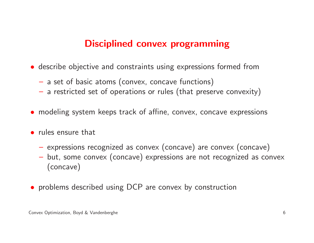### Disciplined convex programming

- describe objective and constraints using expressions formed from
	- $-$  a set of basic atoms (convex, concave functions)
	- $\overline{\phantom{x}}$  a restricted set of operations or rules (that preserve convexity)
- modeling system keeps track of affine, convex, concave expressions
- rules ensure that
	- $-$  expressions recognized as convex (concave) are convex (concave)
	- but, some convex (concave) expressions are not recognized as convex (concave)
- problems described using DCP are convex by construction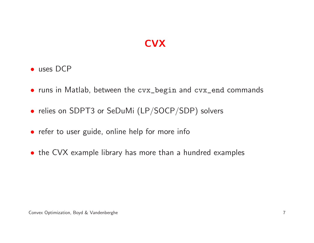# **CVX**

- uses DCP
- runs in Matlab, between the cvx\_begin and cvx\_end commands
- relies on SDPT3 or SeDuMi (LP/SOCP/SDP) solvers
- refer to user guide, online help for more info
- the CVX example library has more than <sup>a</sup> hundred examples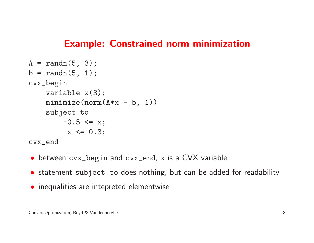#### Example: Constrained norm minimization

```
A = \text{randn}(5, 3);b = \text{randn}(5, 1);cvx_begin
variable x(3);
    minimize(norm(A*x - b, 1))
    subject to
         -0.5 \leq x;
          x \le 0.3;cvx_end
```
- between cvx\_begin and cvx\_end, <sup>x</sup> is <sup>a</sup> CVX variable
- statement subject to does nothing, but can be added for readability
- inequalities are intepreted elementwise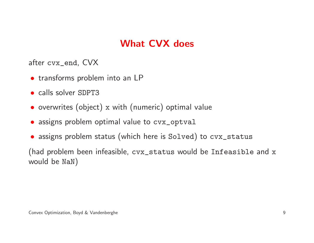# What CVX does

after cvx\_end, CVX

- transforms problem into an LP
- calls solver SDPT3
- overwrites (object) <sup>x</sup> with (numeric) optimal value
- assigns problem optimal value to cvx\_optval
- assigns problem status (which here is Solved) to cvx\_status

(had problem been infeasible, cvx\_status would be Infeasible and <sup>x</sup> would be NaN)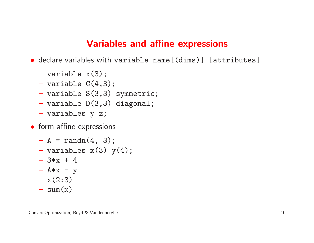#### Variables and affine expressions

• declare variables with variable name[(dims)] [attributes]

- variable x(3);
- variable  $C(4,3)$ ;
- variable S(3,3) symmetric;
- $-$  variable  $D(3,3)$  diagonal;
- variables <sup>y</sup> z;
- form affine expressions
	- $-A = \text{randn}(4, 3);$
	- $-$  variables  $x(3)$   $y(4)$ ;
	- $-3*x + 4$
	- $-$  A\*x y
	- $x(2:3)$
	- $\cos(\theta)$  $- \text{sum}(x)$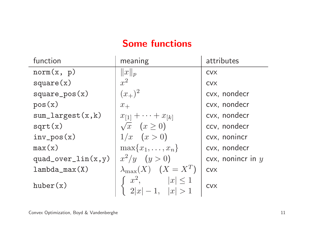# Some functions

| function               | meaning                                        | attributes          |
|------------------------|------------------------------------------------|---------------------|
| norm(x, p)             | $  x  _p$                                      | <b>CVX</b>          |
| square(x)              | $x^2$                                          | <b>CVX</b>          |
| $square_pos(x)$        | $(x_{+})^2$                                    | cvx, nondecr        |
| pos(x)                 | $x_+$                                          | cvx, nondecr        |
| $sum\_largest(x, k)$   | $x_{[1]} + \cdots + x_{[k]}$                   | cvx, nondecr        |
| sqrt(x)                | $\sqrt{x}$ $(x \ge 0)$                         | ccv, nondecr        |
| $inv_{pos}(x)$         | $1/x \quad (x>0)$                              | cvx, nonincr        |
| max(x)                 | $\max\{x_1,\ldots,x_n\}$                       | cvx, nondecr        |
| $quad\_over\_lin(x,y)$ | $x^2/y$ $(y > 0)$                              | cvx, nonincr in $y$ |
| $lambda_max(X)$        | $\lambda_{\max}(X)$ $(X = X^T)$                | <b>CVX</b>          |
| huber(x)               | $x^2$ ,<br>$ x  \leq 1$<br>$2 x  - 1,  x  > 1$ | <b>CVX</b>          |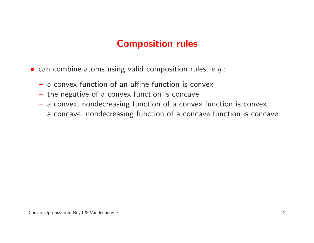# Composition rules

- $\bullet$  can combine atoms using valid composition rules,  $e.g.:$ 
	- $-$  a convex function of an affine function is convex
	- $-$  the negative of a convex function is concave
	- $-$  a convex, nondecreasing function of a convex function is convex
	- $-$  a concave, nondecreasing function of a concave function is concave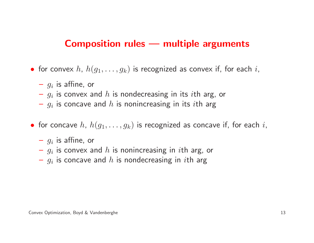#### Composition rules — multiple arguments

- $\bullet\,$  for convex  $h,\,h(g_1,\ldots,g_k)$  is recognized as convex if, for each  $i,$ 
	- $g_i$  is affine, or
	- $g_i$  is convex and  $h$  is nondecreasing in its  $i$ th arg, or
	- $g_i$  is concave and  $h$  is nonincreasing in its  $i$ th arg
- $\bullet\,$  for concave  $h,\ h(g_1,\ldots,g_k)$  is recognized as concave if, for each  $i,$ 
	- $g_i$  is affine, or
	- $g_i$  is convex and  $h$  is nonincreasing in  $i$ th arg, or
	- $g_i$  is concave and  $h$  is nondecreasing in  $i$ th arg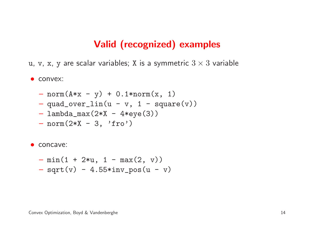#### Valid (recognized) examples

 ${\tt u},\, {\tt v},\, {\tt x},\, {\tt y}$  are scalar variables;  ${\tt X}$  is a symmetric  $3\times 3$  variable

• convex:

- $-$  norm(A\*x y) + 0.1\*norm(x, 1)
- $-$  quad\_over\_lin(u v, 1 square(v))
- lambda\_max(2\*X 4\*eye(3))
- norm(2\*X 3, 'fro')

• concave:

 min(1 <sup>+</sup> 2\*u, <sup>1</sup> - max(2, v)) sqrt(v) - 4.55\*inv\_pos(u - v)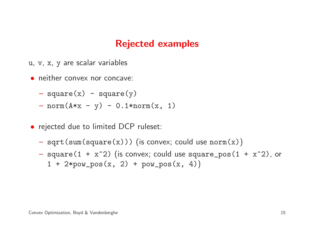### Rejected examples

- u, <sup>v</sup>, <sup>x</sup>, y are scalar variables
- neither convex nor concave:
	- $-$  square(x) square(y)
	- $-$  norm(A\*x y) 0.1\*norm(x, 1)
- rejected due to limited DCP ruleset:
	- $\;$  sqrt(sum(square(x))) (is convex; could use  $\verb|norm(x)|$
	- $-$  square(1 + x^2) (is convex; could use square\_pos(1 + x^2), or  $1 + 2*pow_pos(x, 2) + pow_pos(x, 4)$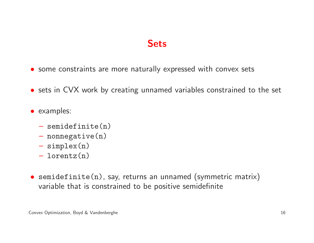### **Sets**

- some constraints are more naturally expressed with convex sets
- sets in CVX work by creating unnamed variables constrained to the set
- examples:
	- semidefinite(n)
	- $-$  nonnegative(n)
	- simplex(n)
	- $-$  lorontz(n lorentz(n)
- $\bullet\,$  semidefinite(n), say, returns an unnamed (symmetric matrix) variable that is constrained to be positive semidefinite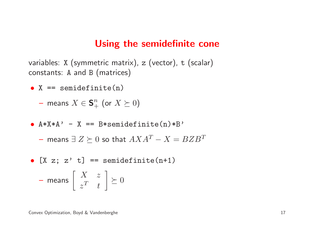#### Using the semidefinite cone

variables:X (symmetric matrix), z (vector), t (scalar) constants:A and B (matrices)

- $X ==$  semidefinite(n)
	- $-$  means  $X\in\mathbf{S}^n_+$  $\, + \,$  $\frac{n}{+}$  (or  $X \succeq 0$ )
- $A*X*A' X == B*semidefinite(n)*B'$ 
	- $-$  means  $\exists Z \succeq 0$  so that  $AXA^T X = BZB^T$
- $[X z; z' t] ==$  semidefinite(n+1)

$$
-\text{ means } \left[\begin{array}{cc} X & z \\ z^T & t \end{array}\right] \succeq 0
$$

Convex Optimization, Boyd & Vandenberghe 17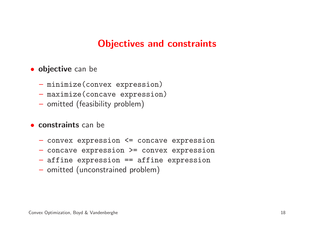### Objectives and constraints

# **• objective** can be

- minimize(convex expression)
- maximize(concave expression)
- $-$  omitted (feasibility problem)

### **• constraints** can be

- convex expression <= concave expression
- concave expression >= convex expression
- affine expression == affine expression
- $-$  omitted (unconstrained problem)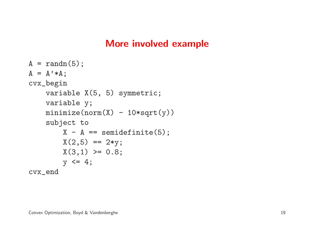### More involved example

```
A = \text{randn}(5);
A = A' * A;cvx_begin
variable X(5, 5) symmetric;
    variable y;
    minimize(norm(X) - 10*sqrt(y))subject to
        X - A == semidefinite(5);
        X(2,5) == 2*y;X(3,1) \ge 0.8;y \leq 4;
cvx_end
```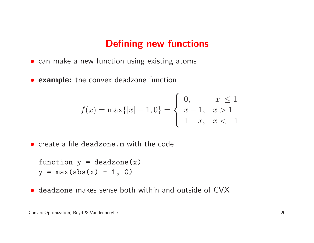#### Defining new functions

- can make <sup>a</sup> new function using existing atoms
- **example:** the convex deadzone function

$$
f(x) = \max\{|x| - 1, 0\} = \begin{cases} 0, & |x| \le 1 \\ x - 1, & x > 1 \\ 1 - x, & x < -1 \end{cases}
$$

• create <sup>a</sup> file deadzone.m with the code

```
function y = deadzone(x)y = max(abs(x) - 1, 0)
```
• deadzone makes sense both within and outside of CVX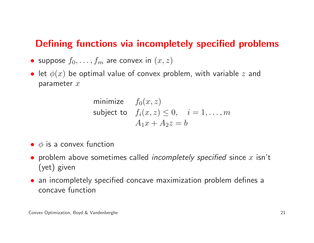### Defining functions via incompletely specified problems

- $\bullet$  suppose  $f_0, \ldots, f_m$  are convex in  $(x,z)$
- $\bullet\,$  let  $\phi(x)$  be optimal value of convex problem, with variable  $z$  and parameter  $x$

minimize 
$$
f_0(x, z)
$$
  
subject to  $f_i(x, z) \le 0$ ,  $i = 1, ..., m$   
 $A_1x + A_2z = b$ 

- $\bullet\hspace{0.1cm} \phi$  is a convex function
- problem above sometimes called *incompletely specified* since  $x$  isn't (yet) <sup>g</sup>iven
- an incompletely specified concave maximization problem defines <sup>a</sup> concave function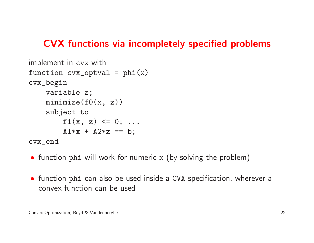### CVX functions via incompletely specified problems

```
implement in cvx with
function cvx_optval = phi(x)cvx_begin
variable z;
    minimize(f0(x, z))subject to
        f1(x, z) \leq 0; \ldotsA1*x + A2*z == b;cvx_end
```
- function <sup>p</sup>hi will work for numeric x (by solving the problem)
- function <sup>p</sup>hi can also be used inside <sup>a</sup> CVX specification, wherever <sup>a</sup> convex function can be used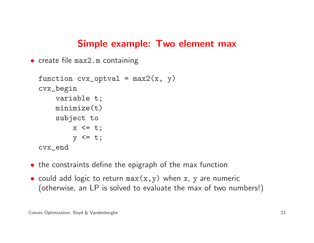#### Simple example: Two element max

```
• create file max2.m containing
```

```
function cvx-optval = max2(x, y)cvx_begin
variable t;
    minimize(t)
subject to
        x \leq t;
        y \leq t;
cvx_end
```
- the constraints define the epigraph of the max function
- could add logic to return max(x,y) when x, y are numeric (otherwise, an LP is solved to evaluate the max of two numbers!)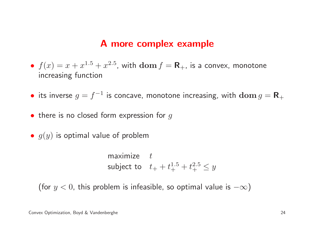#### <sup>A</sup> more complex example

- $f(x) = x + x^{1.5}$  increasing function $^5+x^{2.5}$ , with  $\mathbf{dom}\, f=\mathbf{R}_+$ , is a convex, monotone
- $\bullet\,$  its inverse  $g=f^{-1}$  is concave, monotone increasing, with  ${\bf dom}\,g={\bf R}_{+}$
- $\bullet\,$  there is no closed form expression for  $g$
- $\bullet\;g(y)$  is optimal value of problem

maximize  $t$ subject to  $t_+ + t_+^{1.5}$  $_{+}^{1.5}+t_{+}^{2.5}$  $_{+}^{2.5} \leq y$ 

(for  $y < 0$ , this problem is infeasible, so optimal value is  $-\infty)$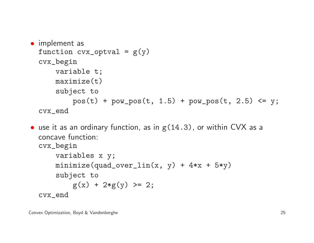```
• implement as
 function cvx-optval = g(y)cvx_begin
variable t;
     maximize(t)
subject to
          pos(t) + pow_pos(t, 1.5) + pow_pos(t, 2.5) \leq y;cvx_end
```
• use it as an ordinary function, as in  $g(14.3)$ , or within CVX as a concave function: cvx\_beginvariables <sup>x</sup> y; minimize(quad\_over\_lin(x, y) +  $4*x + 5*y$ ) subject to  $g(x) + 2*g(y) \ge 2;$ cvx\_end

Convex Optimization, Boyd & Vandenberghe 25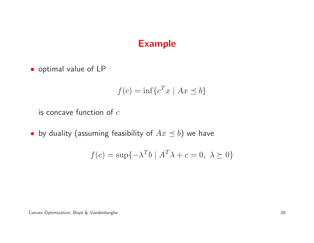#### Example

• optimal value of LP

$$
f(c) = \inf\{c^T x \mid Ax \leq b\}
$$

is concave function of  $c$ 

 $\bullet\,$  by duality (assuming feasibility of  $Ax\preceq b)$  we have

$$
f(c) = \sup\{-\lambda^T b \mid A^T \lambda + c = 0, \lambda \ge 0\}
$$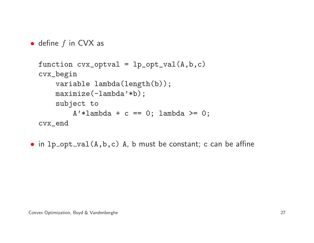```
\bullet define f in CVX as
```

```
function cvx_optval = lp_opt_val(A,b,c)
cvx_begin
variable lambda(length(b));
    maximize(-lambda'*b);subject to
        A' *lambda + c == 0; lambda >= 0;
cvx_end
```
• in  $lp\_opt\_val(A,b,c)$  A, b must be constant; c can be affine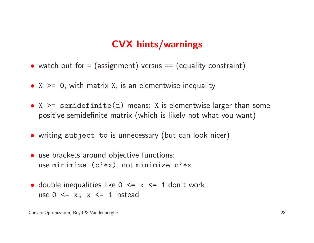# CVX hints/warnings

- watch out for <sup>=</sup> (assignment) versus == (equality constraint)
- <sup>X</sup> >= <sup>0</sup>, with matrix <sup>X</sup>, is an elementwise inequality
- $X$   $>$  = semidefinite(n) means: X is elementwise larger than some positive semidefinite matrix (which is likely not what you want)
- writing subject to is unnecessary (but can look nicer)
- use brackets around objective functions: use minimize (c'\*x), not minimize <sup>c</sup>'\*x
- double inequalities like  $0 \leq x \leq 1$  don't work; use  $0 \leq x$ ;  $x \leq 1$  instead